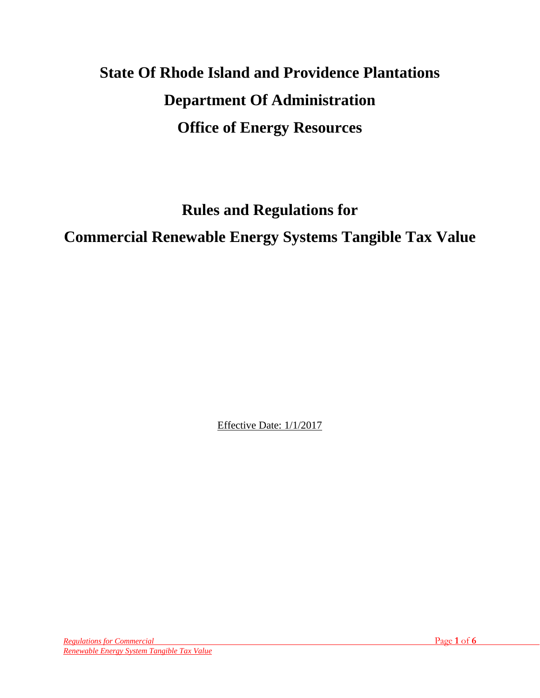# **State Of Rhode Island and Providence Plantations Department Of Administration Office of Energy Resources**

**Rules and Regulations for**

**Commercial Renewable Energy Systems Tangible Tax Value** 

Effective Date: 1/1/2017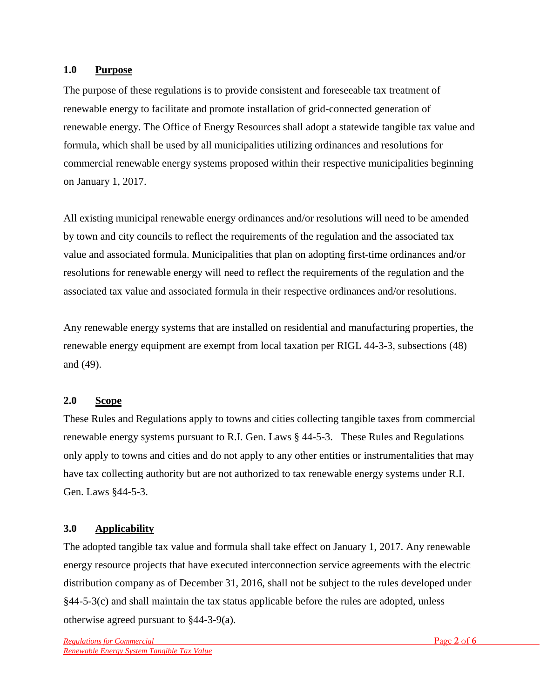### **1.0 Purpose**

The purpose of these regulations is to provide consistent and foreseeable tax treatment of renewable energy to facilitate and promote installation of grid-connected generation of renewable energy. The Office of Energy Resources shall adopt a statewide tangible tax value and formula, which shall be used by all municipalities utilizing ordinances and resolutions for commercial renewable energy systems proposed within their respective municipalities beginning on January 1, 2017.

All existing municipal renewable energy ordinances and/or resolutions will need to be amended by town and city councils to reflect the requirements of the regulation and the associated tax value and associated formula. Municipalities that plan on adopting first-time ordinances and/or resolutions for renewable energy will need to reflect the requirements of the regulation and the associated tax value and associated formula in their respective ordinances and/or resolutions.

Any renewable energy systems that are installed on residential and manufacturing properties, the renewable energy equipment are exempt from local taxation per RIGL 44-3-3, subsections (48) and (49).

# **2.0 Scope**

These Rules and Regulations apply to towns and cities collecting tangible taxes from commercial renewable energy systems pursuant to R.I. Gen. Laws § 44-5-3. These Rules and Regulations only apply to towns and cities and do not apply to any other entities or instrumentalities that may have tax collecting authority but are not authorized to tax renewable energy systems under R.I. Gen. Laws §44-5-3.

# **3.0 Applicability**

The adopted tangible tax value and formula shall take effect on January 1, 2017. Any renewable energy resource projects that have executed interconnection service agreements with the electric distribution company as of December 31, 2016, shall not be subject to the rules developed under §44-5-3(c) and shall maintain the tax status applicable before the rules are adopted, unless otherwise agreed pursuant to §44-3-9(a).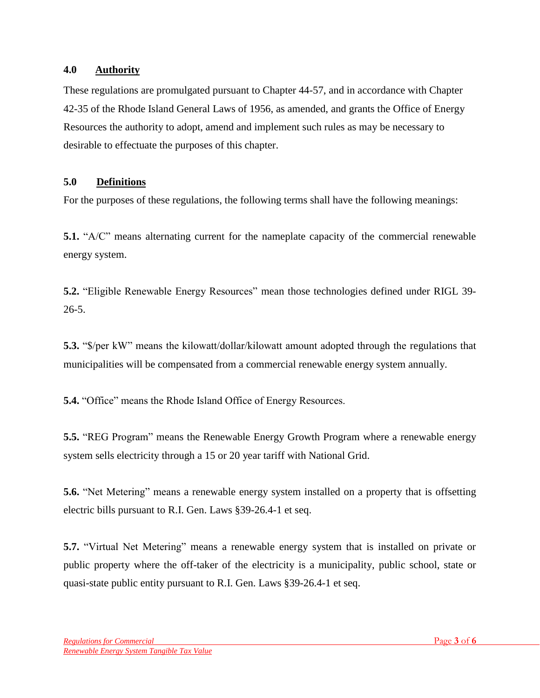### **4.0 Authority**

These regulations are promulgated pursuant to Chapter 44-57, and in accordance with Chapter 42-35 of the Rhode Island General Laws of 1956, as amended, and grants the Office of Energy Resources the authority to adopt, amend and implement such rules as may be necessary to desirable to effectuate the purposes of this chapter.

# **5.0 Definitions**

For the purposes of these regulations, the following terms shall have the following meanings:

**5.1.** "A/C" means alternating current for the nameplate capacity of the commercial renewable energy system.

**5.2.** "Eligible Renewable Energy Resources" mean those technologies defined under RIGL 39- 26-5.

**5.3.** "\$/per kW" means the kilowatt/dollar/kilowatt amount adopted through the regulations that municipalities will be compensated from a commercial renewable energy system annually.

**5.4.** "Office" means the Rhode Island Office of Energy Resources.

**5.5.** "REG Program" means the Renewable Energy Growth Program where a renewable energy system sells electricity through a 15 or 20 year tariff with National Grid.

**5.6.** "Net Metering" means a renewable energy system installed on a property that is offsetting electric bills pursuant to R.I. Gen. Laws §39-26.4-1 et seq.

**5.7.** "Virtual Net Metering" means a renewable energy system that is installed on private or public property where the off-taker of the electricity is a municipality, public school, state or quasi-state public entity pursuant to R.I. Gen. Laws §39-26.4-1 et seq.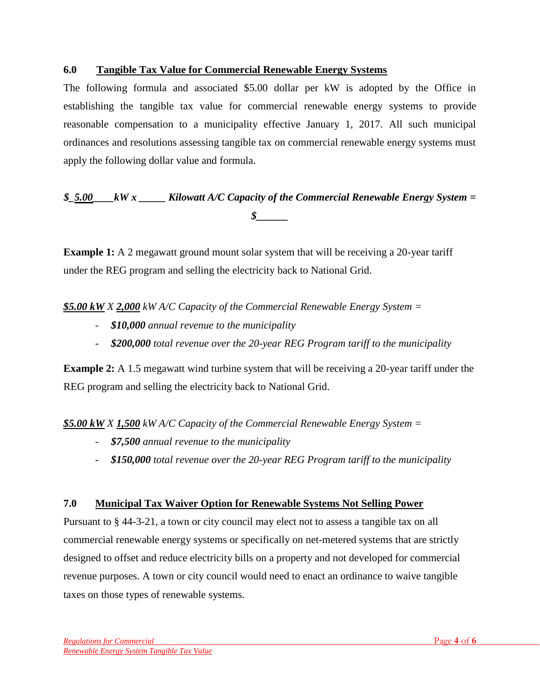### **6.0 Tangible Tax Value for Commercial Renewable Energy Systems**

The following formula and associated \$5.00 dollar per kW is adopted by the Office in establishing the tangible tax value for commercial renewable energy systems to provide reasonable compensation to a municipality effective January 1, 2017. All such municipal ordinances and resolutions assessing tangible tax on commercial renewable energy systems must apply the following dollar value and formula.

# *\$\_5.00\_\_\_\_kW x \_\_\_\_\_ Kilowatt A/C Capacity of the Commercial Renewable Energy System = \$\_\_\_\_\_\_*

**Example 1:** A 2 megawatt ground mount solar system that will be receiving a 20-year tariff under the REG program and selling the electricity back to National Grid.

*\$5.00 kW X 2,000 kW A/C Capacity of the Commercial Renewable Energy System =*

- *\$10,000 annual revenue to the municipality*
- *\$200,000 total revenue over the 20-year REG Program tariff to the municipality*

**Example 2:** A 1.5 megawatt wind turbine system that will be receiving a 20-year tariff under the REG program and selling the electricity back to National Grid.

*\$5.00 kW X 1,500 kW A/C Capacity of the Commercial Renewable Energy System =*

- *\$7,500 annual revenue to the municipality*
- *\$150,000 total revenue over the 20-year REG Program tariff to the municipality*

#### **7.0 Municipal Tax Waiver Option for Renewable Systems Not Selling Power**

Pursuant to § 44-3-21, a town or city council may elect not to assess a tangible tax on all commercial renewable energy systems or specifically on net-metered systems that are strictly designed to offset and reduce electricity bills on a property and not developed for commercial revenue purposes. A town or city council would need to enact an ordinance to waive tangible taxes on those types of renewable systems.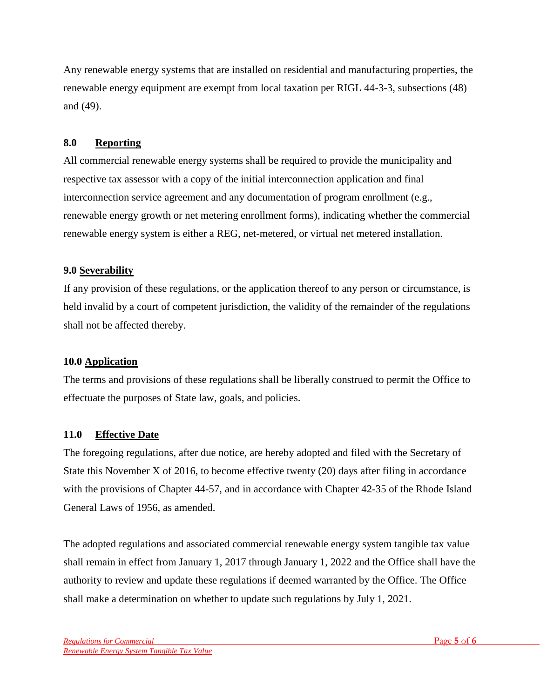Any renewable energy systems that are installed on residential and manufacturing properties, the renewable energy equipment are exempt from local taxation per RIGL 44-3-3, subsections (48) and (49).

# **8.0 Reporting**

All commercial renewable energy systems shall be required to provide the municipality and respective tax assessor with a copy of the initial interconnection application and final interconnection service agreement and any documentation of program enrollment (e.g., renewable energy growth or net metering enrollment forms), indicating whether the commercial renewable energy system is either a REG, net-metered, or virtual net metered installation.

# **9.0 Severability**

If any provision of these regulations, or the application thereof to any person or circumstance, is held invalid by a court of competent jurisdiction, the validity of the remainder of the regulations shall not be affected thereby.

# **10.0 Application**

The terms and provisions of these regulations shall be liberally construed to permit the Office to effectuate the purposes of State law, goals, and policies.

# **11.0 Effective Date**

The foregoing regulations, after due notice, are hereby adopted and filed with the Secretary of State this November X of 2016, to become effective twenty (20) days after filing in accordance with the provisions of Chapter 44-57, and in accordance with Chapter 42-35 of the Rhode Island General Laws of 1956, as amended.

The adopted regulations and associated commercial renewable energy system tangible tax value shall remain in effect from January 1, 2017 through January 1, 2022 and the Office shall have the authority to review and update these regulations if deemed warranted by the Office. The Office shall make a determination on whether to update such regulations by July 1, 2021.